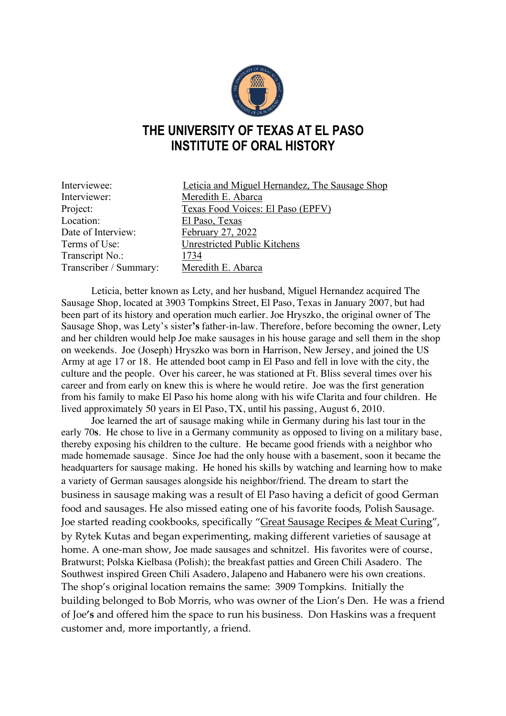

## **THE UNIVERSITY OF TEXAS AT EL PASO INSTITUTE OF ORAL HISTORY**

| Interviewee:           | Leticia and Miguel Hernandez, The Sausage Shop |
|------------------------|------------------------------------------------|
| Interviewer:           | Meredith E. Abarca                             |
| Project:               | Texas Food Voices: El Paso (EPFV)              |
| Location:              | El Paso, Texas                                 |
| Date of Interview:     | February 27, 2022                              |
| Terms of Use:          | Unrestricted Public Kitchens                   |
| Transcript No.:        | 1734                                           |
| Transcriber / Summary: | Meredith E. Abarca                             |

Leticia, better known as Lety, and her husband, Miguel Hernandez acquired The Sausage Shop, located at 3903 Tompkins Street, El Paso, Texas in January 2007, but had been part of its history and operation much earlier. Joe Hryszko, the original owner of The Sausage Shop, was Lety's sister**'s** father-in-law. Therefore, before becoming the owner, Lety and her children would help Joe make sausages in his house garage and sell them in the shop on weekends. Joe (Joseph) Hryszko was born in Harrison, New Jersey, and joined the US Army at age 17 or 18. He attended boot camp in El Paso and fell in love with the city, the culture and the people. Over his career, he was stationed at Ft. Bliss several times over his career and from early on knew this is where he would retire. Joe was the first generation from his family to make El Paso his home along with his wife Clarita and four children. He lived approximately 50 years in El Paso, TX, until his passing, August 6, 2010.

Joe learned the art of sausage making while in Germany during his last tour in the early 70**s**. He chose to live in a Germany community as opposed to living on a military base, thereby exposing his children to the culture. He became good friends with a neighbor who made homemade sausage. Since Joe had the only house with a basement, soon it became the headquarters for sausage making. He honed his skills by watching and learning how to make a variety of German sausages alongside his neighbor/friend. The dream to start the business in sausage making was a result of El Paso having a deficit of good German food and sausages. He also missed eating one of his favorite foods, Polish Sausage. Joe started reading cookbooks, specifically "Great Sausage Recipes & Meat Curing", by Rytek Kutas and began experimenting, making different varieties of sausage at home. A one-man show, Joe made sausages and schnitzel. His favorites were of course, Bratwurst; Polska Kielbasa (Polish); the breakfast patties and Green Chili Asadero. The Southwest inspired Green Chili Asadero, Jalapeno and Habanero were his own creations. The shop's original location remains the same: 3909 Tompkins. Initially the building belonged to Bob Morris, who was owner of the Lion's Den. He was a friend of Joe**'s** and offered him the space to run his business. Don Haskins was a frequent customer and, more importantly, a friend.